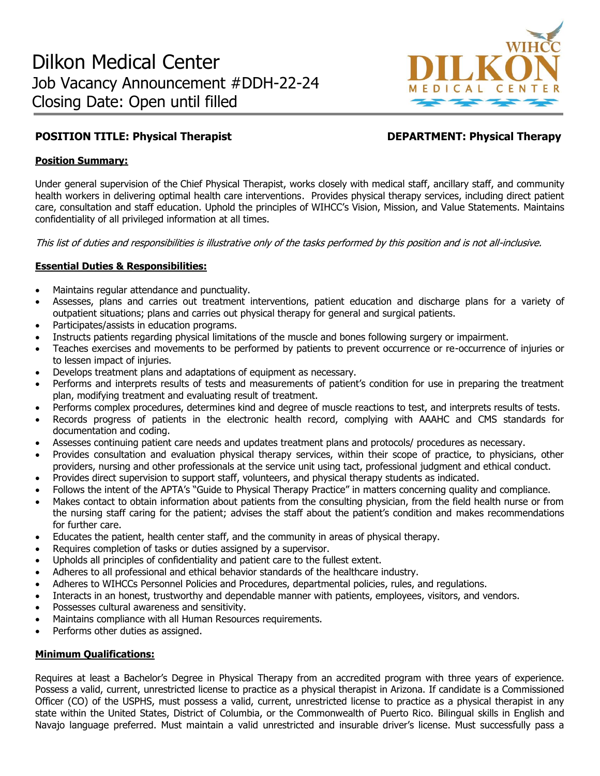

# **POSITION TITLE: Physical Therapist DEPARTMENT: Physical Therapy**

## **Position Summary:**

Under general supervision of the Chief Physical Therapist, works closely with medical staff, ancillary staff, and community health workers in delivering optimal health care interventions. Provides physical therapy services, including direct patient care, consultation and staff education. Uphold the principles of WIHCC's Vision, Mission, and Value Statements. Maintains confidentiality of all privileged information at all times.

This list of duties and responsibilities is illustrative only of the tasks performed by this position and is not all-inclusive.

## **Essential Duties & Responsibilities:**

- Maintains regular attendance and punctuality.
- Assesses, plans and carries out treatment interventions, patient education and discharge plans for a variety of outpatient situations; plans and carries out physical therapy for general and surgical patients.
- Participates/assists in education programs.
- Instructs patients regarding physical limitations of the muscle and bones following surgery or impairment.
- Teaches exercises and movements to be performed by patients to prevent occurrence or re-occurrence of injuries or to lessen impact of injuries.
- Develops treatment plans and adaptations of equipment as necessary.
- Performs and interprets results of tests and measurements of patient's condition for use in preparing the treatment plan, modifying treatment and evaluating result of treatment.
- Performs complex procedures, determines kind and degree of muscle reactions to test, and interprets results of tests.
- Records progress of patients in the electronic health record, complying with AAAHC and CMS standards for documentation and coding.
- Assesses continuing patient care needs and updates treatment plans and protocols/ procedures as necessary.
- Provides consultation and evaluation physical therapy services, within their scope of practice, to physicians, other providers, nursing and other professionals at the service unit using tact, professional judgment and ethical conduct.
- Provides direct supervision to support staff, volunteers, and physical therapy students as indicated.
- Follows the intent of the APTA's "Guide to Physical Therapy Practice" in matters concerning quality and compliance.
- Makes contact to obtain information about patients from the consulting physician, from the field health nurse or from the nursing staff caring for the patient; advises the staff about the patient's condition and makes recommendations for further care.
- Educates the patient, health center staff, and the community in areas of physical therapy.
- Requires completion of tasks or duties assigned by a supervisor.
- Upholds all principles of confidentiality and patient care to the fullest extent.
- Adheres to all professional and ethical behavior standards of the healthcare industry.
- Adheres to WIHCCs Personnel Policies and Procedures, departmental policies, rules, and regulations.
- Interacts in an honest, trustworthy and dependable manner with patients, employees, visitors, and vendors.
- Possesses cultural awareness and sensitivity.
- Maintains compliance with all Human Resources requirements.
- Performs other duties as assigned.

## **Minimum Qualifications:**

Requires at least a Bachelor's Degree in Physical Therapy from an accredited program with three years of experience. Possess a valid, current, unrestricted license to practice as a physical therapist in Arizona. If candidate is a Commissioned Officer (CO) of the USPHS, must possess a valid, current, unrestricted license to practice as a physical therapist in any state within the United States, District of Columbia, or the Commonwealth of Puerto Rico. Bilingual skills in English and Navajo language preferred. Must maintain a valid unrestricted and insurable driver's license. Must successfully pass a